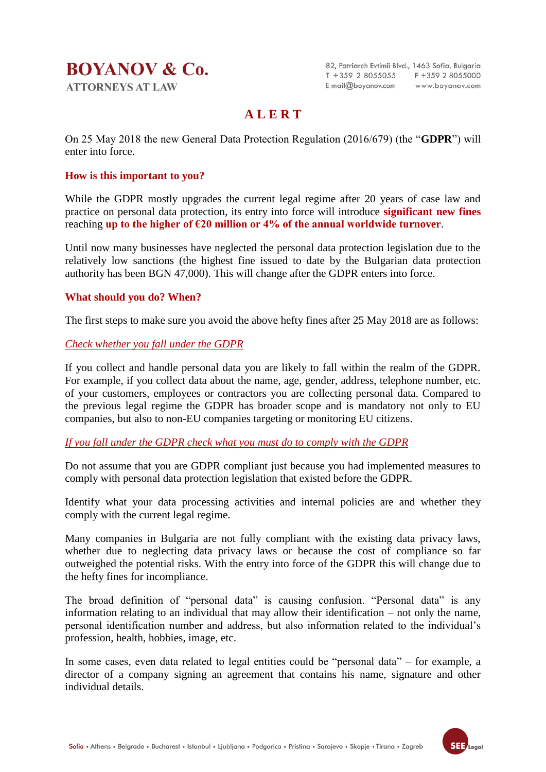## **BOYANOV & Co. ATTORNEYS AT LAW**

82, Patriarch Evtimii Blvd., 1463 Sofia, Bulgaria T +359 2 8055055 F +359 2 8055000 E mail@boyanov.com www.boyanov.com

## **A L E R T**

On 25 May 2018 the new General Data Protection Regulation (2016/679) (the "**GDPR**") will enter into force.

#### **How is this important to you?**

While the GDPR mostly upgrades the current legal regime after 20 years of case law and practice on personal data protection, its entry into force will introduce **significant new fines** reaching **up to the higher of €20 million or 4% of the annual worldwide turnover**.

Until now many businesses have neglected the personal data protection legislation due to the relatively low sanctions (the highest fine issued to date by the Bulgarian data protection authority has been BGN 47,000). This will change after the GDPR enters into force.

#### **What should you do? When?**

The first steps to make sure you avoid the above hefty fines after 25 May 2018 are as follows:

#### *Check whether you fall under the GDPR*

If you collect and handle personal data you are likely to fall within the realm of the GDPR. For example, if you collect data about the name, age, gender, address, telephone number, etc. of your customers, employees or contractors you are collecting personal data. Compared to the previous legal regime the GDPR has broader scope and is mandatory not only to EU companies, but also to non-EU companies targeting or monitoring EU citizens.

#### *If you fall under the GDPR check what you must do to comply with the GDPR*

Do not assume that you are GDPR compliant just because you had implemented measures to comply with personal data protection legislation that existed before the GDPR.

Identify what your data processing activities and internal policies are and whether they comply with the current legal regime.

Many companies in Bulgaria are not fully compliant with the existing data privacy laws, whether due to neglecting data privacy laws or because the cost of compliance so far outweighed the potential risks. With the entry into force of the GDPR this will change due to the hefty fines for incompliance.

The broad definition of "personal data" is causing confusion. "Personal data" is any information relating to an individual that may allow their identification – not only the name, personal identification number and address, but also information related to the individual's profession, health, hobbies, image, etc.

In some cases, even data related to legal entities could be "personal data" – for example, a director of a company signing an agreement that contains his name, signature and other individual details.